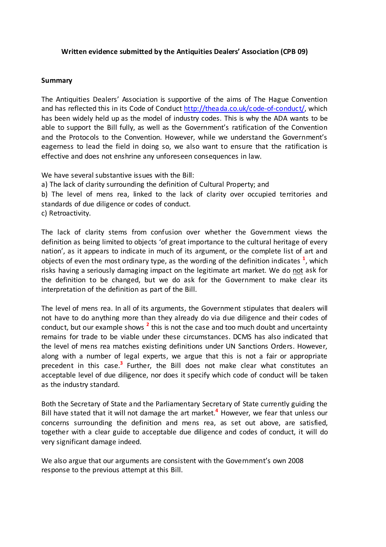## **Written evidence submitted by the Antiquities Dealers' Association (CPB 09)**

## **Summary**

The Antiquities Dealers' Association is supportive of the aims of The Hague Convention and has reflected this in its Code of Conduct [http://theada.co.uk/code-of-conduct/,](http://theada.co.uk/code-of-conduct/) which has been widely held up as the model of industry codes. This is why the ADA wants to be able to support the Bill fully, as well as the Government's ratification of the Convention and the Protocols to the Convention. However, while we understand the Government's eagerness to lead the field in doing so, we also want to ensure that the ratification is effective and does not enshrine any unforeseen consequences in law.

We have several substantive issues with the Bill:

a) The lack of clarity surrounding the definition of Cultural Property; and

b) The level of mens rea, linked to the lack of clarity over occupied territories and standards of due diligence or codes of conduct.

c) Retroactivity.

The lack of clarity stems from confusion over whether the Government views the definition as being limited to objects 'of great importance to the cultural heritage of every nation', as it appears to indicate in much of its argument, or the complete list of art and objects of even the most ordinary type, as the wording of the definition indicates **<sup>1</sup>** , which risks having a seriously damaging impact on the legitimate art market. We do not ask for the definition to be changed, but we do ask for the Government to make clear its interpretation of the definition as part of the Bill.

The level of mens rea. In all of its arguments, the Government stipulates that dealers will not have to do anything more than they already do via due diligence and their codes of conduct, but our example shows **<sup>2</sup>** this is not the case and too much doubt and uncertainty remains for trade to be viable under these circumstances. DCMS has also indicated that the level of mens rea matches existing definitions under UN Sanctions Orders. However, along with a number of legal experts, we argue that this is not a fair or appropriate precedent in this case.<sup>3</sup> Further, the Bill does not make clear what constitutes an acceptable level of due diligence, nor does it specify which code of conduct will be taken as the industry standard.

Both the Secretary of State and the Parliamentary Secretary of State currently guiding the Bill have stated that it will not damage the art market. **<sup>4</sup>** However, we fear that unless our concerns surrounding the definition and mens rea, as set out above, are satisfied, together with a clear guide to acceptable due diligence and codes of conduct, it will do very significant damage indeed.

We also argue that our arguments are consistent with the Government's own 2008 response to the previous attempt at this Bill.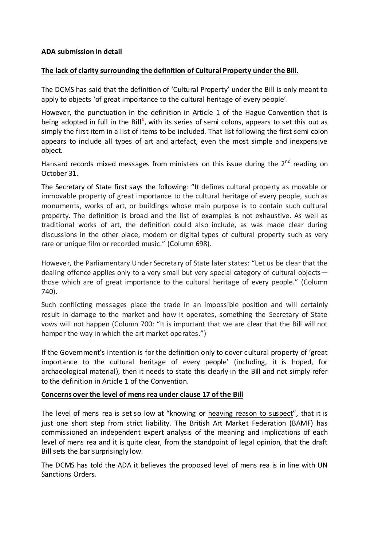## **The lack of clarity surrounding the definition of Cultural Property under the Bill.**

The DCMS has said that the definition of 'Cultural Property' under the Bill is only meant to apply to objects 'of great importance to the cultural heritage of every people'.

However, the punctuation in the definition in Article 1 of the Hague Convention that is being adopted in full in the Bill<sup>1</sup>, with its series of semi colons, appears to set this out as simply the first item in a list of items to be included. That list following the first semi colon appears to include all types of art and artefact, even the most simple and inexpensive object.

Hansard records mixed messages from ministers on this issue during the  $2^{nd}$  reading on October 31.

The Secretary of State first says the following: "It defines cultural property as movable or immovable property of great importance to the cultural heritage of every people, such as monuments, works of art, or buildings whose main purpose is to contain such cultural property. The definition is broad and the list of examples is not exhaustive. As well as traditional works of art, the definition could also include, as was made clear during discussions in the other place, modern or digital types of cultural property such as very rare or unique film or recorded music." (Column 698).

However, the Parliamentary Under Secretary of State later states: "Let us be clear that the dealing offence applies only to a very small but very special category of cultural objects those which are of great importance to the cultural heritage of every people." (Column 740).

Such conflicting messages place the trade in an impossible position and will certainly result in damage to the market and how it operates, something the Secretary of State vows will not happen (Column 700: "It is important that we are clear that the Bill will not hamper the way in which the art market operates.")

If the Government's intention is for the definition only to cover cultural property of 'great importance to the cultural heritage of every people' (including, it is hoped, for archaeological material), then it needs to state this clearly in the Bill and not simply refer to the definition in Article 1 of the Convention.

## **Concerns over the level of mens rea under clause 17 of the Bill**

The level of mens rea is set so low at "knowing or heaving reason to suspect", that it is just one short step from strict liability. The British Art Market Federation (BAMF) has commissioned an independent expert analysis of the meaning and implications of each level of mens rea and it is quite clear, from the standpoint of legal opinion, that the draft Bill sets the bar surprisingly low.

The DCMS has told the ADA it believes the proposed level of mens rea is in line with UN Sanctions Orders.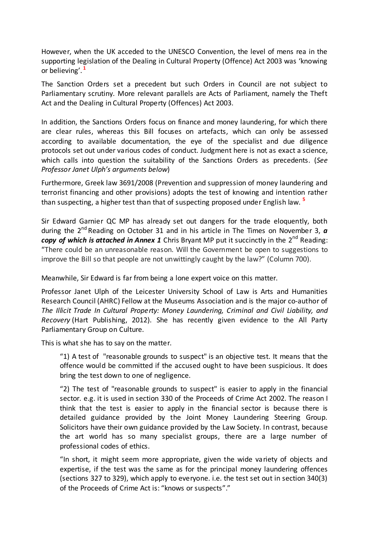However, when the UK acceded to the UNESCO Convention, the level of mens rea in the supporting legislation of the Dealing in Cultural Property (Offence) Act 2003 was 'knowing or believing'. **<sup>1</sup>**

The Sanction Orders set a precedent but such Orders in Council are not subject to Parliamentary scrutiny. More relevant parallels are Acts of Parliament, namely the Theft Act and the Dealing in Cultural Property (Offences) Act 2003.

In addition, the Sanctions Orders focus on finance and money laundering, for which there are clear rules, whereas this Bill focuses on artefacts, which can only be assessed according to available documentation, the eye of the specialist and due diligence protocols set out under various codes of conduct. Judgment here is not as exact a science, which calls into question the suitability of the Sanctions Orders as precedents. (*See Professor Janet Ulph's arguments below*)

Furthermore, Greek law 3691/2008 (Prevention and suppression of money laundering and terrorist financing and other provisions) adopts the test of knowing and intention rather than suspecting, a higher test than that of suspecting proposed under English law. **<sup>5</sup>**

Sir Edward Garnier QC MP has already set out dangers for the trade eloquently, both during the 2nd Reading on October 31 and in his article in The Times on November 3, *a copy of which is attached in Annex 1* Chris Bryant MP put it succinctly in the 2<sup>nd</sup> Reading: "There could be an unreasonable reason. Will the Government be open to suggestions to improve the Bill so that people are not unwittingly caught by the law?" (Column 700).

Meanwhile, Sir Edward is far from being a lone expert voice on this matter.

Professor Janet Ulph of the Leicester University School of Law is Arts and Humanities Research Council (AHRC) Fellow at the Museums Association and is the major co-author of *[The Illicit Trade In Cultural Property: Money Laundering, Criminal and Civil Liability, and](http://www.hartpub.co.uk/books/details.asp?isbn=9781841139647)  [Recovery](http://www.hartpub.co.uk/books/details.asp?isbn=9781841139647)* (Hart Publishing, 2012). She has recently given evidence to the All Party Parliamentary Group on Culture.

This is what she has to say on the matter.

"1) A test of "reasonable grounds to suspect" is an objective test. It means that the offence would be committed if the accused ought to have been suspicious. It does bring the test down to one of negligence.

"2) The test of "reasonable grounds to suspect" is easier to apply in the financial sector. e.g. it is used in section 330 of the Proceeds of Crime Act 2002. The reason I think that the test is easier to apply in the financial sector is because there is detailed guidance provided by the Joint Money Laundering Steering Group. Solicitors have their own guidance provided by the Law Society. In contrast, because the art world has so many specialist groups, there are a large number of professional codes of ethics.

"In short, it might seem more appropriate, given the wide variety of objects and expertise, if the test was the same as for the principal money laundering offences (sections 327 to 329), which apply to everyone. i.e. the test set out in section 340(3) of the Proceeds of Crime Act is: "knows or suspects"."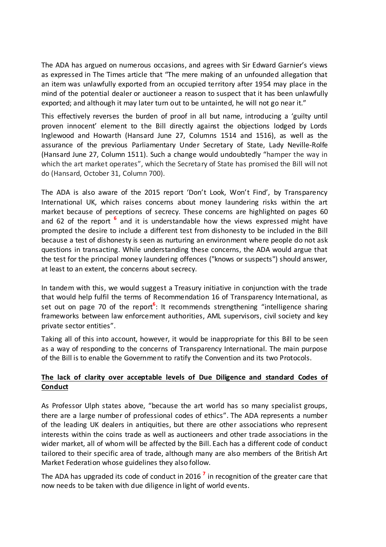The ADA has argued on numerous occasions, and agrees with Sir Edward Garnier's views as expressed in The Times article that "The mere making of an unfounded allegation that an item was unlawfully exported from an occupied territory after 1954 may place in the mind of the potential dealer or auctioneer a reason to suspect that it has been unlawfully exported; and although it may later turn out to be untainted, he will not go near it."

This effectively reverses the burden of proof in all but name, introducing a 'guilty until proven innocent' element to the Bill directly against the objections lodged by Lords Inglewood and Howarth (Hansard June 27, Columns 1514 and 1516), as well as the assurance of the previous Parliamentary Under Secretary of State, Lady Neville-Rolfe (Hansard June 27, Column 1511). Such a change would undoubtedly "hamper the way in which the art market operates", which the Secretary of State has promised the Bill will not do (Hansard, October 31, Column 700).

The ADA is also aware of the 2015 report 'Don't Look, Won't Find', by Transparency International UK, which raises concerns about money laundering risks within the art market because of perceptions of secrecy. These concerns are highlighted on pages 60 and 62 of the report **<sup>6</sup>** and it is understandable how the views expressed might have prompted the desire to include a different test from dishonesty to be included in the Bill because a test of dishonesty is seen as nurturing an environment where people do not ask questions in transacting. While understanding these concerns, the ADA would argue that the test for the principal money laundering offences ("knows or suspects") should answer, at least to an extent, the concerns about secrecy.

In tandem with this, we would suggest a Treasury initiative in conjunction with the trade that would help fulfil the terms of Recommendation 16 of Transparency International, as set out on page 70 of the report<sup>6</sup>: It recommends strengthening "intelligence sharing frameworks between law enforcement authorities, AML supervisors, civil society and key private sector entities".

Taking all of this into account, however, it would be inappropriate for this Bill to be seen as a way of responding to the concerns of Transparency International. The main purpose of the Bill is to enable the Government to ratify the Convention and its two Protocols.

# **The lack of clarity over acceptable levels of Due Diligence and standard Codes of Conduct**

As Professor Ulph states above, "because the art world has so many specialist groups, there are a large number of professional codes of ethics". The ADA represents a number of the leading UK dealers in antiquities, but there are other associations who represent interests within the coins trade as well as auctioneers and other trade associations in the wider market, all of whom will be affected by the Bill. Each has a different code of conduct tailored to their specific area of trade, although many are also members of the British Art Market Federation whose guidelines they also follow.

The ADA has upgraded its code of conduct in 2016 **<sup>7</sup>** in recognition of the greater care that now needs to be taken with due diligence in light of world events.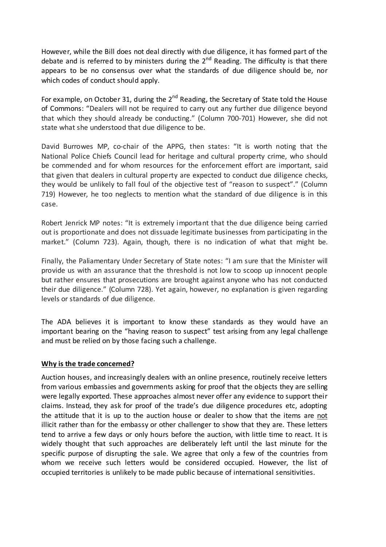However, while the Bill does not deal directly with due diligence, it has formed part of the debate and is referred to by ministers during the  $2^{nd}$  Reading. The difficulty is that there appears to be no consensus over what the standards of due diligence should be, nor which codes of conduct should apply.

For example, on October 31, during the  $2^{nd}$  Reading, the Secretary of State told the House of Commons: "Dealers will not be required to carry out any further due diligence beyond that which they should already be conducting." (Column 700-701) However, she did not state what she understood that due diligence to be.

David Burrowes MP, co-chair of the APPG, then states: "It is worth noting that the National Police Chiefs Council lead for heritage and cultural property crime, who should be commended and for whom resources for the enforcement effort are important, said that given that dealers in cultural property are expected to conduct due diligence checks, they would be unlikely to fall foul of the objective test of "reason to suspect"." (Column 719) However, he too neglects to mention what the standard of due diligence is in this case.

Robert Jenrick MP notes: "It is extremely important that the due diligence being carried out is proportionate and does not dissuade legitimate businesses from participating in the market." (Column 723). Again, though, there is no indication of what that might be.

Finally, the Paliamentary Under Secretary of State notes: "I am sure that the Minister will provide us with an assurance that the threshold is not low to scoop up innocent people but rather ensures that prosecutions are brought against anyone who has not conducted their due diligence." (Column 728). Yet again, however, no explanation is given regarding levels or standards of due diligence.

The ADA believes it is important to know these standards as they would have an important bearing on the "having reason to suspect" test arising from any legal challenge and must be relied on by those facing such a challenge.

## **Why is the trade concerned?**

Auction houses, and increasingly dealers with an online presence, routinely receive letters from various embassies and governments asking for proof that the objects they are selling were legally exported. These approaches almost never offer any evidence to support their claims. Instead, they ask for proof of the trade's due diligence procedures etc, adopting the attitude that it is up to the auction house or dealer to show that the items are not illicit rather than for the embassy or other challenger to show that they are. These letters tend to arrive a few days or only hours before the auction, with little time to react. It is widely thought that such approaches are deliberately left until the last minute for the specific purpose of disrupting the sale. We agree that only a few of the countries from whom we receive such letters would be considered occupied. However, the list of occupied territories is unlikely to be made public because of international sensitivities.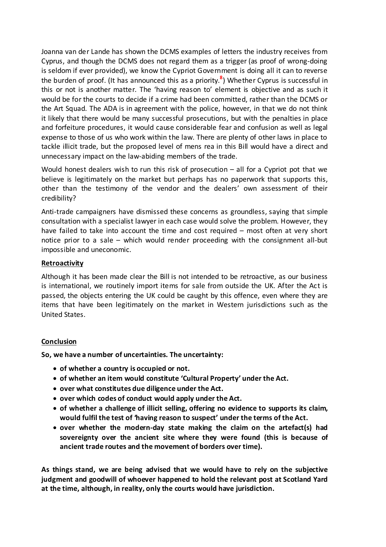Joanna van der Lande has shown the DCMS examples of letters the industry receives from Cyprus, and though the DCMS does not regard them as a trigger (as proof of wrong-doing is seldom if ever provided), we know the Cypriot Government is doing all it can to reverse the burden of proof. (It has announced this as a priority. **8** ) Whether Cyprus is successful in this or not is another matter. The 'having reason to' element is objective and as such it would be for the courts to decide if a crime had been committed, rather than the DCMS or the Art Squad. The ADA is in agreement with the police, however, in that we do not think it likely that there would be many successful prosecutions, but with the penalties in place and forfeiture procedures, it would cause considerable fear and confusion as well as legal expense to those of us who work within the law. There are plenty of other laws in place to tackle illicit trade, but the proposed level of mens rea in this Bill would have a direct and unnecessary impact on the law-abiding members of the trade.

Would honest dealers wish to run this risk of prosecution – all for a Cypriot pot that we believe is legitimately on the market but perhaps has no paperwork that supports this, other than the testimony of the vendor and the dealers' own assessment of their credibility?

Anti-trade campaigners have dismissed these concerns as groundless, saying that simple consultation with a specialist lawyer in each case would solve the problem. However, they have failed to take into account the time and cost required – most often at very short notice prior to a sale – which would render proceeding with the consignment all-but impossible and uneconomic.

### **Retroactivity**

Although it has been made clear the Bill is not intended to be retroactive, as our business is international, we routinely import items for sale from outside the UK. After the Act is passed, the objects entering the UK could be caught by this offence, even where they are items that have been legitimately on the market in Western jurisdictions such as the United States.

## **Conclusion**

**So, we have a number of uncertainties. The uncertainty:**

- **of whether a country is occupied or not.**
- **of whether an item would constitute 'Cultural Property' under the Act.**
- **over what constitutes due diligence under the Act.**
- **over which codes of conduct would apply under the Act.**
- **of whether a challenge of illicit selling, offering no evidence to supports its claim, would fulfil the test of 'having reason to suspect' under the terms of the Act.**
- **over whether the modern-day state making the claim on the artefact(s) had sovereignty over the ancient site where they were found (this is because of ancient trade routes and the movement of borders over time).**

**As things stand, we are being advised that we would have to rely on the subjective judgment and goodwill of whoever happened to hold the relevant post at Scotland Yard at the time, although, in reality, only the courts would have jurisdiction.**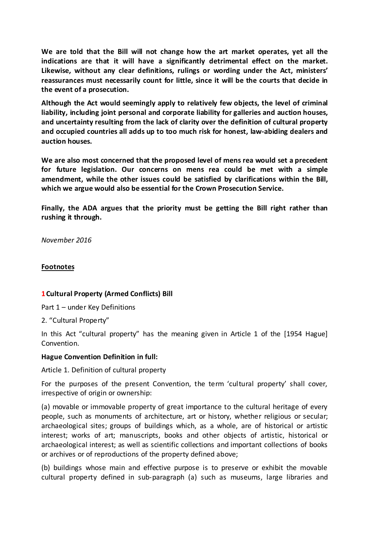**We are told that the Bill will not change how the art market operates, yet all the indications are that it will have a significantly detrimental effect on the market. Likewise, without any clear definitions, rulings or wording under the Act, ministers' reassurances must necessarily count for little, since it will be the courts that decide in the event of a prosecution.**

**Although the Act would seemingly apply to relatively few objects, the level of criminal liability, including joint personal and corporate liability for galleries and auction houses, and uncertainty resulting from the lack of clarity over the definition of cultural property and occupied countries all adds up to too much risk for honest, law-abiding dealers and auction houses.** 

**We are also most concerned that the proposed level of mens rea would set a precedent for future legislation. Our concerns on mens rea could be met with a simple amendment, while the other issues could be satisfied by clarifications within the Bill, which we argue would also be essential for the Crown Prosecution Service.**

**Finally, the ADA argues that the priority must be getting the Bill right rather than rushing it through.**

*November 2016*

### **Footnotes**

## **1Cultural Property (Armed Conflicts) Bill**

Part 1 – under Key Definitions

2. "Cultural Property"

In this Act "cultural property" has the meaning given in Article 1 of the [1954 Hague] Convention.

#### **Hague Convention Definition in full:**

Article 1. Definition of cultural property

For the purposes of the present Convention, the term 'cultural property' shall cover, irrespective of origin or ownership:

(a) movable or immovable property of great importance to the cultural heritage of every people, such as monuments of architecture, art or history, whether religious or secular; archaeological sites; groups of buildings which, as a whole, are of historical or artistic interest; works of art; manuscripts, books and other objects of artistic, historical or archaeological interest; as well as scientific collections and important collections of books or archives or of reproductions of the property defined above;

(b) buildings whose main and effective purpose is to preserve or exhibit the movable cultural property defined in sub-paragraph (a) such as museums, large libraries and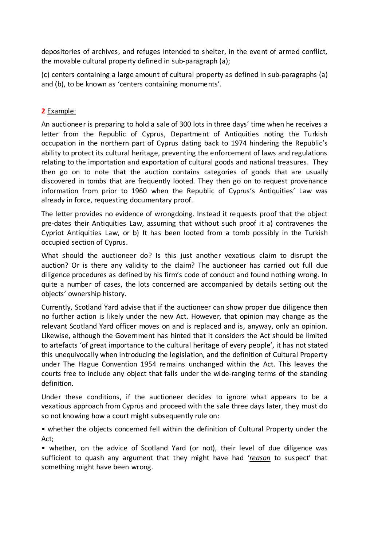depositories of archives, and refuges intended to shelter, in the event of armed conflict, the movable cultural property defined in sub-paragraph (a);

(c) centers containing a large amount of cultural property as defined in sub-paragraphs (a) and (b), to be known as 'centers containing monuments'.

**2** Example:

An auctioneer is preparing to hold a sale of 300 lots in three days' time when he receives a letter from the Republic of Cyprus, Department of Antiquities noting the Turkish occupation in the northern part of Cyprus dating back to 1974 hindering the Republic's ability to protect its cultural heritage, preventing the enforcement of laws and regulations relating to the importation and exportation of cultural goods and national treasures. They then go on to note that the auction contains categories of goods that are usually discovered in tombs that are frequently looted. They then go on to request provenance information from prior to 1960 when the Republic of Cyprus's Antiquities' Law was already in force, requesting documentary proof.

The letter provides no evidence of wrongdoing. Instead it requests proof that the object pre-dates their Antiquities Law, assuming that without such proof it a) contravenes the Cypriot Antiquities Law, or b) It has been looted from a tomb possibly in the Turkish occupied section of Cyprus.

What should the auctioneer do? Is this just another vexatious claim to disrupt the auction? Or is there any validity to the claim? The auctioneer has carried out full due diligence procedures as defined by his firm's code of conduct and found nothing wrong. In quite a number of cases, the lots concerned are accompanied by details setting out the objects' ownership history.

Currently, Scotland Yard advise that if the auctioneer can show proper due diligence then no further action is likely under the new Act. However, that opinion may change as the relevant Scotland Yard officer moves on and is replaced and is, anyway, only an opinion. Likewise, although the Government has hinted that it considers the Act should be limited to artefacts 'of great importance to the cultural heritage of every people', it has not stated this unequivocally when introducing the legislation, and the definition of Cultural Property under The Hague Convention 1954 remains unchanged within the Act. This leaves the courts free to include any object that falls under the wide-ranging terms of the standing definition.

Under these conditions, if the auctioneer decides to ignore what appears to be a vexatious approach from Cyprus and proceed with the sale three days later, they must do so not knowing how a court might subsequently rule on:

• whether the objects concerned fell within the definition of Cultural Property under the Act;

• whether, on the advice of Scotland Yard (or not), their level of due diligence was sufficient to quash any argument that they might have had '*reason* to suspect' that something might have been wrong.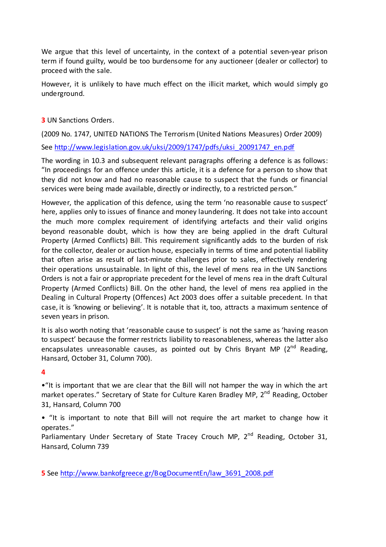We argue that this level of uncertainty, in the context of a potential seven-year prison term if found guilty, would be too burdensome for any auctioneer (dealer or collector) to proceed with the sale.

However, it is unlikely to have much effect on the illicit market, which would simply go underground.

**3** UN Sanctions Orders.

(2009 No. 1747, UNITED NATIONS The Terrorism (United Nations Measures) Order 2009)

See [http://www.legislation.gov.uk/uksi/2009/1747/pdfs/uksi\\_20091747\\_en.pdf](http://www.legislation.gov.uk/uksi/2009/1747/pdfs/uksi_20091747_en.pdf)

The wording in 10.3 and subsequent relevant paragraphs offering a defence is as follows: "In proceedings for an offence under this article, it is a defence for a person to show that they did not know and had no reasonable cause to suspect that the funds or financial services were being made available, directly or indirectly, to a restricted person."

However, the application of this defence, using the term 'no reasonable cause to suspect' here, applies only to issues of finance and money laundering. It does not take into account the much more complex requirement of identifying artefacts and their valid origins beyond reasonable doubt, which is how they are being applied in the draft Cultural Property (Armed Conflicts) Bill. This requirement significantly adds to the burden of risk for the collector, dealer or auction house, especially in terms of time and potential liability that often arise as result of last-minute challenges prior to sales, effectively rendering their operations unsustainable. In light of this, the level of mens rea in the UN Sanctions Orders is not a fair or appropriate precedent for the level of mens rea in the draft Cultural Property (Armed Conflicts) Bill. On the other hand, the level of mens rea applied in the Dealing in Cultural Property (Offences) Act 2003 does offer a suitable precedent. In that case, it is 'knowing or believing'. It is notable that it, too, attracts a maximum sentence of seven years in prison.

It is also worth noting that 'reasonable cause to suspect' is not the same as 'having reason to suspect' because the former restricts liability to reasonableness, whereas the latter also encapsulates unreasonable causes, as pointed out by Chris Bryant MP  $(2^{nd}$  Reading, Hansard, October 31, Column 700).

## **4**

•"It is important that we are clear that the Bill will not hamper the way in which the art market operates." Secretary of State for Culture Karen Bradley MP, 2<sup>nd</sup> Reading, October 31, Hansard, Column 700

• "It is important to note that Bill will not require the art market to change how it operates."

Parliamentary Under Secretary of State Tracey Crouch MP,  $2^{nd}$  Reading, October 31, Hansard, Column 739

**5** See [http://www.bankofgreece.gr/BogDocumentEn/law\\_3691\\_2008.pdf](http://www.bankofgreece.gr/BogDocumentEn/law_3691_2008.pdf)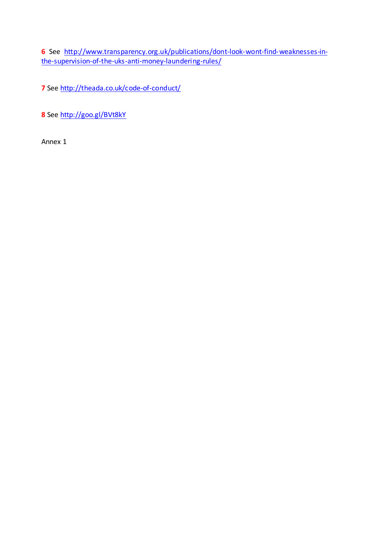**6** See [http://www.transparency.org.uk/publications/dont-look-wont-find-weaknesses-in](http://www.transparency.org.uk/publications/dont-look-wont-find-weaknesses-in-the-supervision-of-the-uks-anti-money-laundering-rules/)[the-supervision-of-the-uks-anti-money-laundering-rules/](http://www.transparency.org.uk/publications/dont-look-wont-find-weaknesses-in-the-supervision-of-the-uks-anti-money-laundering-rules/)

**7** See<http://theada.co.uk/code-of-conduct/>

**8** See<http://goo.gl/BVt8kY>

Annex 1